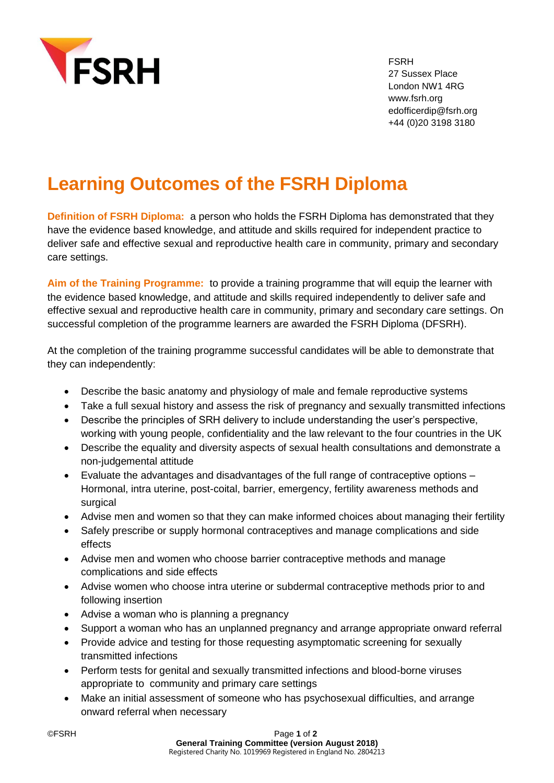

FSRH 27 Sussex Place London NW1 4RG [www.fsrh.org](http://www.fsrh.org/) edofficerdip@fsrh.org +44 (0)20 3198 3180

## **Learning Outcomes of the FSRH Diploma**

**Definition of FSRH Diploma:** a person who holds the FSRH Diploma has demonstrated that they have the evidence based knowledge, and attitude and skills required for independent practice to deliver safe and effective sexual and reproductive health care in community, primary and secondary care settings.

**Aim of the Training Programme:** to provide a training programme that will equip the learner with the evidence based knowledge, and attitude and skills required independently to deliver safe and effective sexual and reproductive health care in community, primary and secondary care settings. On successful completion of the programme learners are awarded the FSRH Diploma (DFSRH).

At the completion of the training programme successful candidates will be able to demonstrate that they can independently:

- Describe the basic anatomy and physiology of male and female reproductive systems
- Take a full sexual history and assess the risk of pregnancy and sexually transmitted infections
- Describe the principles of SRH delivery to include understanding the user's perspective, working with young people, confidentiality and the law relevant to the four countries in the UK
- Describe the equality and diversity aspects of sexual health consultations and demonstrate a non-judgemental attitude
- Evaluate the advantages and disadvantages of the full range of contraceptive options Hormonal, intra uterine, post-coital, barrier, emergency, fertility awareness methods and surgical
- Advise men and women so that they can make informed choices about managing their fertility
- Safely prescribe or supply hormonal contraceptives and manage complications and side effects
- Advise men and women who choose barrier contraceptive methods and manage complications and side effects
- Advise women who choose intra uterine or subdermal contraceptive methods prior to and following insertion
- Advise a woman who is planning a pregnancy
- Support a woman who has an unplanned pregnancy and arrange appropriate onward referral
- Provide advice and testing for those requesting asymptomatic screening for sexually transmitted infections
- Perform tests for genital and sexually transmitted infections and blood-borne viruses appropriate to community and primary care settings
- Make an initial assessment of someone who has psychosexual difficulties, and arrange onward referral when necessary